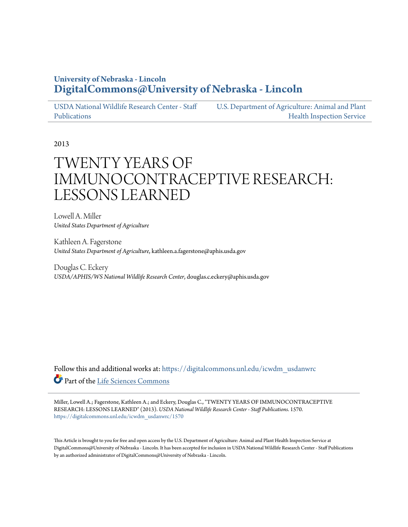# **University of Nebraska - Lincoln [DigitalCommons@University of Nebraska - Lincoln](https://digitalcommons.unl.edu?utm_source=digitalcommons.unl.edu%2Ficwdm_usdanwrc%2F1570&utm_medium=PDF&utm_campaign=PDFCoverPages)**

[USDA National Wildlife Research Center - Staff](https://digitalcommons.unl.edu/icwdm_usdanwrc?utm_source=digitalcommons.unl.edu%2Ficwdm_usdanwrc%2F1570&utm_medium=PDF&utm_campaign=PDFCoverPages) [Publications](https://digitalcommons.unl.edu/icwdm_usdanwrc?utm_source=digitalcommons.unl.edu%2Ficwdm_usdanwrc%2F1570&utm_medium=PDF&utm_campaign=PDFCoverPages) [U.S. Department of Agriculture: Animal and Plant](https://digitalcommons.unl.edu/usdaaphis?utm_source=digitalcommons.unl.edu%2Ficwdm_usdanwrc%2F1570&utm_medium=PDF&utm_campaign=PDFCoverPages) [Health Inspection Service](https://digitalcommons.unl.edu/usdaaphis?utm_source=digitalcommons.unl.edu%2Ficwdm_usdanwrc%2F1570&utm_medium=PDF&utm_campaign=PDFCoverPages)

2013

# TWENTY YEARS OF IMMUNOCONTRACEPTIVE RESEARCH: LESSONS LEARNED

Lowell A. Miller *United States Department of Agriculture*

Kathleen A. Fagerstone *United States Department of Agriculture*, kathleen.a.fagerstone@aphis.usda.gov

Douglas C. Eckery *USDA/APHIS/WS National Wildlife Research Center*, douglas.c.eckery@aphis.usda.gov

Follow this and additional works at: [https://digitalcommons.unl.edu/icwdm\\_usdanwrc](https://digitalcommons.unl.edu/icwdm_usdanwrc?utm_source=digitalcommons.unl.edu%2Ficwdm_usdanwrc%2F1570&utm_medium=PDF&utm_campaign=PDFCoverPages) Part of the [Life Sciences Commons](http://network.bepress.com/hgg/discipline/1016?utm_source=digitalcommons.unl.edu%2Ficwdm_usdanwrc%2F1570&utm_medium=PDF&utm_campaign=PDFCoverPages)

Miller, Lowell A.; Fagerstone, Kathleen A.; and Eckery, Douglas C., "TWENTY YEARS OF IMMUNOCONTRACEPTIVE RESEARCH: LESSONS LEARNED" (2013). *USDA National Wildlife Research Center - Staff Publications*. 1570. [https://digitalcommons.unl.edu/icwdm\\_usdanwrc/1570](https://digitalcommons.unl.edu/icwdm_usdanwrc/1570?utm_source=digitalcommons.unl.edu%2Ficwdm_usdanwrc%2F1570&utm_medium=PDF&utm_campaign=PDFCoverPages)

This Article is brought to you for free and open access by the U.S. Department of Agriculture: Animal and Plant Health Inspection Service at DigitalCommons@University of Nebraska - Lincoln. It has been accepted for inclusion in USDA National Wildlife Research Center - Staff Publications by an authorized administrator of DigitalCommons@University of Nebraska - Lincoln.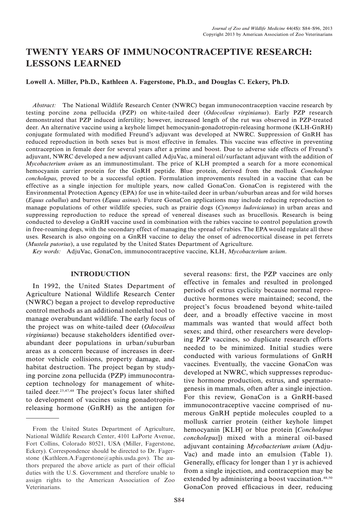# TWENTY YEARS OF IMMUNOCONTRACEPTIVE RESEARCH: LESSONS LEARNED

## Lowell A. Miller, Ph.D., Kathleen A. Fagerstone, Ph.D., and Douglas C. Eckery, Ph.D.

Abstract: The National Wildlife Research Center (NWRC) began immunocontraception vaccine research by testing porcine zona pellucida (PZP) on white-tailed deer (Odocoileus virginianus). Early PZP research demonstrated that PZP induced infertility; however, increased length of the rut was observed in PZP-treated deer. An alternative vaccine using a keyhole limpet hemocyanin-gonadotropin-releasing hormone (KLH-GnRH) conjugate formulated with modified Freund's adjuvant was developed at NWRC. Suppression of GnRH has reduced reproduction in both sexes but is most effective in females. This vaccine was effective in preventing contraception in female deer for several years after a prime and boost. Due to adverse side effects of Freund's adjuvant, NWRC developed a new adjuvant called AdjuVac, a mineral oil/surfactant adjuvant with the addition of Mycobacterium avium as an immunostimulant. The price of KLH prompted a search for a more economical hemocyanin carrier protein for the GnRH peptide. Blue protein, derived from the mollusk Concholepas concholepas, proved to be a successful option. Formulation improvements resulted in a vaccine that can be effective as a single injection for multiple years, now called GonaCon. GonaCon is registered with the Environmental Protection Agency (EPA) for use in white-tailed deer in urban/suburban areas and for wild horses (Equus caballus) and burros (Equus asinus). Future GonaCon applications may include reducing reproduction to manage populations of other wildlife species, such as prairie dogs (Cynomys ludovicianus) in urban areas and suppressing reproduction to reduce the spread of venereal diseases such as brucellosis. Research is being conducted to develop a GnRH vaccine used in combination with the rabies vaccine to control population growth in free-roaming dogs, with the secondary effect of managing the spread of rabies. The EPA would regulate all these uses. Research is also ongoing on a GnRH vaccine to delay the onset of adrenocortical disease in pet ferrets (Mustela putorius), a use regulated by the United States Department of Agriculture.

Key words: AdjuVac, GonaCon, immunocontraceptive vaccine, KLH, Mycobacterium avium.

#### INTRODUCTION

In 1992, the United States Department of Agriculture National Wildlife Research Center (NWRC) began a project to develop reproductive control methods as an additional nonlethal tool to manage overabundant wildlife. The early focus of the project was on white-tailed deer (Odocoileus virginianus) because stakeholders identified overabundant deer populations in urban/suburban areas as a concern because of increases in deermotor vehicle collisions, property damage, and habitat destruction. The project began by studying porcine zona pellucida (PZP) immunocontraception technology for management of whitetailed deer.23,47,48 The project's focus later shifted to development of vaccines using gonadotropinreleasing hormone (GnRH) as the antigen for

effective in females and resulted in prolonged periods of estrus cyclicity because normal reproductive hormones were maintained; second, the project's focus broadened beyond white-tailed deer, and a broadly effective vaccine in most mammals was wanted that would affect both sexes; and third, other researchers were developing PZP vaccines, so duplicate research efforts needed to be minimized. Initial studies were conducted with various formulations of GnRH vaccines. Eventually, the vaccine GonaCon was developed at NWRC, which suppresses reproductive hormone production, estrus, and spermatogenesis in mammals, often after a single injection. For this review, GonaCon is a GnRH-based immunocontraceptive vaccine comprised of numerous GnRH peptide molecules coupled to a mollusk carrier protein (either keyhole limpet hemocyanin [KLH] or blue protein [Concholepus] concholepus]) mixed with a mineral oil-based adjuvant containing Mycobacterium avium (Adju-Vac) and made into an emulsion (Table 1). Generally, efficacy for longer than 1 yr is achieved from a single injection, and contraception may be extended by administering a boost vaccination.<sup>48,50</sup> GonaCon proved efficacious in deer, reducing

several reasons: first, the PZP vaccines are only

From the United States Department of Agriculture, National Wildlife Research Center, 4101 LaPorte Avenue, Fort Collins, Colorado 80521, USA (Miller, Fagerstone, Eckery). Correspondence should be directed to Dr. Fagerstone (Kathleen.A.Fagerstone@aphis.usda.gov). The authors prepared the above article as part of their official duties with the U.S. Government and therefore unable to assign rights to the American Association of Zoo Veterinarians.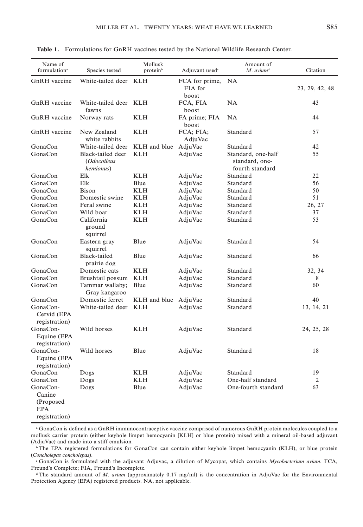| Name of<br>formulation <sup>a</sup>            | Species tested                                       | Mollusk<br>protein <sup>b</sup> | Adjuvant used <sup>c</sup>         | Amount of<br>$M.$ $aviumd$                              | Citation       |
|------------------------------------------------|------------------------------------------------------|---------------------------------|------------------------------------|---------------------------------------------------------|----------------|
| GnRH vaccine                                   | White-tailed deer                                    | <b>KLH</b>                      | FCA for prime,<br>FIA for<br>boost | <b>NA</b>                                               | 23, 29, 42, 48 |
| GnRH vaccine                                   | White-tailed deer<br>fawns                           | KLH                             | FCA, FIA<br>boost                  | NA                                                      | 43             |
| GnRH vaccine                                   | Norway rats                                          | <b>KLH</b>                      | FA prime; FIA<br>boost             | <b>NA</b>                                               | 44             |
| GnRH vaccine                                   | New Zealand<br>white rabbits                         | <b>KLH</b>                      | FCA; FIA;<br>AdjuVac               | Standard                                                | 57             |
| GonaCon                                        | White-tailed deer                                    | KLH and blue                    | AdjuVac                            | Standard                                                | 42             |
| GonaCon                                        | Black-tailed deer<br><i>(Odocoileus</i><br>hemionus) | <b>KLH</b>                      | AdjuVac                            | Standard, one-half<br>standard, one-<br>fourth standard | 55             |
| GonaCon                                        | Elk                                                  | <b>KLH</b>                      | AdjuVac                            | Standard                                                | 22             |
| GonaCon                                        | Elk                                                  | Blue                            | AdjuVac                            | Standard                                                | 56             |
| GonaCon                                        | <b>Bison</b>                                         | <b>KLH</b>                      | AdjuVac                            | Standard                                                | 50             |
| GonaCon                                        | Domestic swine                                       | <b>KLH</b>                      | AdjuVac                            | Standard                                                | 51             |
| GonaCon                                        | Feral swine                                          | <b>KLH</b>                      | AdjuVac                            | Standard                                                | 26, 27         |
| GonaCon                                        | Wild boar                                            | <b>KLH</b>                      | AdjuVac                            | Standard                                                | 37             |
| GonaCon                                        | California<br>ground<br>squirrel                     | <b>KLH</b>                      | AdjuVac                            | Standard                                                | 53             |
| GonaCon                                        | Eastern gray<br>squirrel                             | Blue                            | AdjuVac                            | Standard                                                | 54             |
| GonaCon                                        | Black-tailed<br>prairie dog                          | Blue                            | AdjuVac                            | Standard                                                | 66             |
| GonaCon                                        | Domestic cats                                        | <b>KLH</b>                      | AdjuVac                            | Standard                                                | 32, 34         |
| GonaCon                                        | Brushtail possum                                     | <b>KLH</b>                      | AdjuVac                            | Standard                                                | 8              |
| GonaCon                                        | Tammar wallaby;<br>Gray kangaroo                     | Blue                            | AdjuVac                            | Standard                                                | 60             |
| GonaCon                                        | Domestic ferret                                      | KLH and blue                    | AdjuVac                            | Standard                                                | 40             |
| GonaCon-<br>Cervid (EPA<br>registration)       | White-tailed deer                                    | <b>KLH</b>                      | AdjuVac                            | Standard                                                | 13, 14, 21     |
| GonaCon-<br>Equine (EPA<br>registration)       | Wild horses                                          | <b>KLH</b>                      | AdjuVac                            | Standard                                                | 24, 25, 28     |
| GonaCon-<br>Equine (EPA<br>registration)       | Wild horses                                          | Blue                            | AdjuVac                            | Standard                                                | 18             |
| GonaCon                                        | Dogs                                                 | KLH                             | AdjuVac                            | Standard                                                | 19             |
| GonaCon                                        | Dogs                                                 | <b>KLH</b>                      | AdjuVac                            | One-half standard                                       | 2              |
| GonaCon-<br>Canine<br>(Proposed)<br><b>EPA</b> | Dogs                                                 | Blue                            | AdjuVac                            | One-fourth standard                                     | 63             |
| registration)                                  |                                                      |                                 |                                    |                                                         |                |

Table 1. Formulations for GnRH vaccines tested by the National Wildlife Research Center.

<sup>a</sup> GonaCon is defined as a GnRH immunocontraceptive vaccine comprised of numerous GnRH protein molecules coupled to a mollusk carrier protein (either keyhole limpet hemocyanin [KLH] or blue protein) mixed with a mineral oil-based adjuvant (AdjuVac) and made into a stiff emulsion.

<sup>b</sup> The EPA registered formulations for GonaCon can contain either keyhole limpet hemocyanin (KLH), or blue protein (Concholepas concholepas).

<sup>c</sup> GonaCon is formulated with the adjuvant Adjuvac, a dilution of Mycopar, which contains Mycobacterium avium. FCA, Freund's Complete; FIA, Freund's Incomplete.

<sup>d</sup> The standard amount of M. avium (approximately 0.17 mg/ml) is the concentration in AdjuVac for the Environmental Protection Agency (EPA) registered products. NA, not applicable.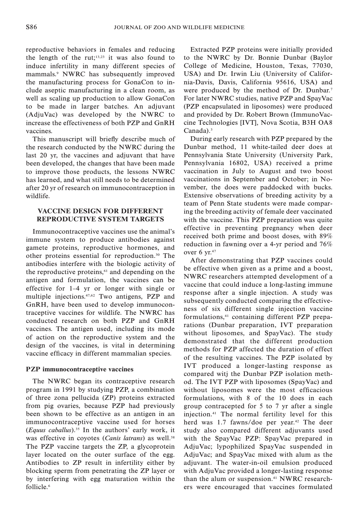reproductive behaviors in females and reducing the length of the rut; $13,23$  it was also found to induce infertility in many different species of mammals.9 NWRC has subsequently improved the manufacturing process for GonaCon to include aseptic manufacturing in a clean room, as well as scaling up production to allow GonaCon to be made in larger batches. An adjuvant (AdjuVac) was developed by the NWRC to increase the effectiveness of both PZP and GnRH vaccines.

This manuscript will briefly describe much of the research conducted by the NWRC during the last 20 yr, the vaccines and adjuvant that have been developed, the changes that have been made to improve those products, the lessons NWRC has learned, and what still needs to be determined after 20 yr of research on immunocontraception in wildlife.

## VACCINE DESIGN FOR DIFFERENT REPRODUCTIVE SYSTEM TARGETS

Immunocontraceptive vaccines use the animal's immune system to produce antibodies against gamete proteins, reproductive hormones, and other proteins essential for reproduction.30 The antibodies interfere with the biologic activity of the reproductive proteins, $61$  and depending on the antigen and formulation, the vaccines can be effective for 1–4 yr or longer with single or multiple injections.47,62 Two antigens, PZP and GnRH, have been used to develop immunocontraceptive vaccines for wildlife. The NWRC has conducted research on both PZP and GnRH vaccines. The antigen used, including its mode of action on the reproductive system and the design of the vaccines, is vital in determining vaccine efficacy in different mammalian species.

#### PZP immunocontraceptive vaccines

The NWRC began its contraceptive research program in 1991 by studying PZP, a combination of three zona pellucida (ZP) proteins extracted from pig ovaries, because PZP had previously been shown to be effective as an antigen in an immunocontraceptive vaccine used for horses (*Equus caballus*).<sup>35</sup> In the authors' early work, it was effective in coyotes (Canis latrans) as well.<sup>38</sup> The PZP vaccine targets the ZP, a glycoprotein layer located on the outer surface of the egg. Antibodies to ZP result in infertility either by blocking sperm from penetrating the ZP layer or by interfering with egg maturation within the follicle.6

Extracted PZP proteins were initially provided to the NWRC by Dr. Bonnie Dunbar (Baylor College of Medicine, Houston, Texas, 77030, USA) and Dr. Irwin Liu (University of California-Davis, Davis, California 95616, USA) and were produced by the method of Dr. Dunbar.<sup>7</sup> For later NWRC studies, native PZP and SpayVac (PZP encapsulated in liposomes) were produced and provided by Dr. Robert Brown (ImmunoVaccine Technologies [IVT], Nova Scotia, B3H OA8 Canada).3

During early research with PZP prepared by the Dunbar method, 11 white-tailed deer does at Pennsylvania State University (University Park, Pennsylvania 16802, USA) received a prime vaccination in July to August and two boost vaccinations in September and October; in November, the does were paddocked with bucks. Extensive observations of breeding activity by a team of Penn State students were made comparing the breeding activity of female deer vaccinated with the vaccine. This PZP preparation was quite effective in preventing pregnancy when deer received both prime and boost doses, with 89% reduction in fawning over a 4-yr period and 76% over 6 yr. $47$ 

After demonstrating that PZP vaccines could be effective when given as a prime and a boost, NWRC researchers attempted development of a vaccine that could induce a long-lasting immune response after a single injection. A study was subsequently conducted comparing the effectiveness of six different single injection vaccine formulations,41 containing different PZP preparations (Dunbar preparation, IVT preparation without liposomes, and SpayVac). The study demonstrated that the different production methods for PZP affected the duration of effect of the resulting vaccines. The PZP isolated by IVT produced a longer-lasting response as compared witj the Dunbar PZP isolation method. The IVT PZP with liposomes (SpayVac) and without liposomes were the most efficacious formulations, with 8 of the 10 does in each group contracepted for 5 to 7 yr after a single injection.41 The normal fertility level for this herd was 1.7 fawns/doe per year.<sup>42</sup> The deer study also compared different adjuvants used with the SpayVac PZP: SpayVac prepared in AdjuVac; lypophilized SpayVac suspended in AdjuVac; and SpayVac mixed with alum as the adjuvant. The water-in-oil emulsion produced with AdjuVac provided a longer-lasting response than the alum or suspension.41 NWRC researchers were encouraged that vaccines formulated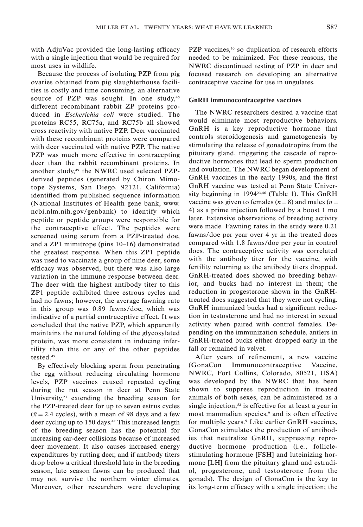with AdjuVac provided the long-lasting efficacy with a single injection that would be required for most uses in wildlife.

Because the process of isolating PZP from pig ovaries obtained from pig slaughterhouse facilities is costly and time consuming, an alternative source of PZP was sought. In one study,<sup>45</sup> different recombinant rabbit ZP proteins produced in Escherichia coli were studied. The proteins RC55, RC75a, and RC75b all showed cross reactivity with native PZP. Deer vaccinated with these recombinant proteins were compared with deer vaccinated with native PZP. The native PZP was much more effective in contracepting deer than the rabbit recombinant proteins. In another study,<sup>49</sup> the NWRC used selected PZPderived peptides (generated by Chiron Mimotope Systems, San Diego, 92121, California) identified from published sequence information (National Institutes of Health gene bank, www. ncbi.nlm.nih.gov/genbank) to identify which peptide or peptide groups were responsible for the contraceptive effect. The peptides were screened using serum from a PZP-treated doe, and a ZP1 mimitrope (pins 10–16) demonstrated the greatest response. When this ZP1 peptide was used to vaccinate a group of nine deer, some efficacy was observed, but there was also large variation in the immune response between deer. The deer with the highest antibody titer to this ZP1 peptide exhibited three estrous cycles and had no fawns; however, the average fawning rate in this group was 0.89 fawns/doe, which was indicative of a partial contraceptive effect. It was concluded that the native PZP, which apparently maintains the natural folding of the glycosylated protein, was more consistent in inducing infertility than this or any of the other peptides tested.49

By effectively blocking sperm from penetrating the egg without reducing circulating hormone levels, PZP vaccines caused repeated cycling during the rut season in deer at Penn State University,23 extending the breeding season for the PZP-treated deer for up to seven estrus cycles  $(\bar{x} = 2.4 \text{ cycles})$ , with a mean of 98 days and a few deer cycling up to 150 days.47 This increased length of the breeding season has the potential for increasing car-deer collisions because of increased deer movement. It also causes increased energy expenditures by rutting deer, and if antibody titers drop below a critical threshold late in the breeding season, late season fawns can be produced that may not survive the northern winter climates. Moreover, other researchers were developing PZP vaccines,<sup>30</sup> so duplication of research efforts needed to be minimized. For these reasons, the NWRC discontinued testing of PZP in deer and focused research on developing an alternative contraceptive vaccine for use in ungulates.

#### GnRH immunocontraceptive vaccines

The NWRC researchers desired a vaccine that would eliminate most reproductive behaviors. GnRH is a key reproductive hormone that controls steroidogenesis and gametogenesis by stimulating the release of gonadotropins from the pituitary gland, triggering the cascade of reproductive hormones that lead to sperm production and ovulation. The NWRC began development of GnRH vaccines in the early 1990s, and the first GnRH vaccine was tested at Penn State University beginning in 199423,46 (Table 1). This GnRH vaccine was given to females ( $n = 8$ ) and males ( $n =$ 4) as a prime injection followed by a boost 1 mo later. Extensive observations of breeding activity were made. Fawning rates in the study were 0.21 fawns/doe per year over 4 yr in the treated does compared with 1.8 fawns/doe per year in control does. The contraceptive activity was correlated with the antibody titer for the vaccine, with fertility returning as the antibody titers dropped. GnRH-treated does showed no breeding behavior, and bucks had no interest in them; the reduction in progesterone shown in the GnRHtreated does suggested that they were not cycling. GnRH immunized bucks had a significant reduction in testosterone and had no interest in sexual activity when paired with control females. Depending on the immunization schedule, antlers in GnRH-treated bucks either dropped early in the fall or remained in velvet.

After years of refinement, a new vaccine (GonaCon Immunocontraceptive Vaccine, NWRC, Fort Collins, Colorado, 80521, USA) was developed by the NWRC that has been shown to suppress reproduction in treated animals of both sexes, can be administered as a single injection, $52$  is effective for at least a year in most mammalian species,<sup>9</sup> and is often effective for multiple years.<sup>9</sup> Like earlier GnRH vaccines, GonaCon stimulates the production of antibodies that neutralize GnRH, suppressing reproductive hormone production (i.e., folliclestimulating hormone [FSH] and luteinizing hormone [LH] from the pituitary gland and estradiol, progesterone, and testosterone from the gonads). The design of GonaCon is the key to its long-term efficacy with a single injection; the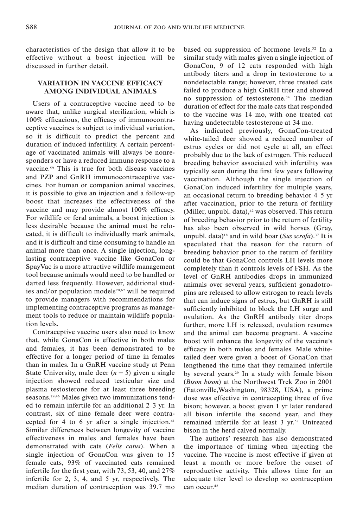characteristics of the design that allow it to be effective without a boost injection will be discussed in further detail.

# VARIATION IN VACCINE EFFICACY AMONG INDIVIDUAL ANIMALS

Users of a contraceptive vaccine need to be aware that, unlike surgical sterilization, which is 100% efficacious, the efficacy of immunocontraceptive vaccines is subject to individual variation, so it is difficult to predict the percent and duration of induced infertility. A certain percentage of vaccinated animals will always be nonresponders or have a reduced immune response to a vaccine.<sup>59</sup> This is true for both disease vaccines and PZP and GnRH immunocontraceptive vaccines. For human or companion animal vaccines, it is possible to give an injection and a follow-up boost that increases the effectiveness of the vaccine and may provide almost 100% efficacy. For wildlife or feral animals, a boost injection is less desirable because the animal must be relocated, it is difficult to individually mark animals, and it is difficult and time consuming to handle an animal more than once. A single injection, longlasting contraceptive vaccine like GonaCon or SpayVac is a more attractive wildlife management tool because animals would need to be handled or darted less frequently. However, additional studies and/or population models $20,67$  will be required to provide managers with recommendations for implementing contraceptive programs as management tools to reduce or maintain wildlife population levels.

Contraceptive vaccine users also need to know that, while GonaCon is effective in both males and females, it has been demonstrated to be effective for a longer period of time in females than in males. In a GnRH vaccine study at Penn State University, male deer  $(n = 5)$  given a single injection showed reduced testicular size and plasma testosterone for at least three breeding seasons.29,46 Males given two immunizations tended to remain infertile for an additional 2–3 yr. In contrast, six of nine female deer were contracepted for 4 to 6 yr after a single injection. $41$ Similar differences between longevity of vaccine effectiveness in males and females have been demonstrated with cats (Felis catus). When a single injection of GonaCon was given to 15 female cats, 93% of vaccinated cats remained infertile for the first year, with 73, 53, 40, and 27% infertile for 2, 3, 4, and 5 yr, respectively. The median duration of contraception was 39.7 mo based on suppression of hormone levels.32 In a similar study with males given a single injection of GonaCon, 9 of 12 cats responded with high antibody titers and a drop in testosterone to a nondetectable range; however, three treated cats failed to produce a high GnRH titer and showed no suppression of testosterone.34 The median duration of effect for the male cats that responded to the vaccine was 14 mo, with one treated cat having undetectable testosterone at 34 mo.

As indicated previously, GonaCon-treated white-tailed deer showed a reduced number of estrus cycles or did not cycle at all, an effect probably due to the lack of estrogen. This reduced breeding behavior associated with infertility was typically seen during the first few years following vaccination. Although the single injection of GonaCon induced infertility for multiple years, an occasional return to breeding behavior 4–5 yr after vaccination, prior to the return of fertility (Miller, unpubl. data),<sup>42</sup> was observed. This return of breeding behavior prior to the return of fertility has also been observed in wild horses (Gray, unpubl. data)<sup>18</sup> and in wild boar (Sus scrofa).<sup>37</sup> It is speculated that the reason for the return of breeding behavior prior to the return of fertility could be that GonaCon controls LH levels more completely than it controls levels of FSH. As the level of GnRH antibodies drops in immunized animals over several years, sufficient gonadotropins are released to allow estrogen to reach levels that can induce signs of estrus, but GnRH is still sufficiently inhibited to block the LH surge and ovulation. As the GnRH antibody titer drops further, more LH is released, ovulation resumes and the animal can become pregnant. A vaccine boost will enhance the longevity of the vaccine's efficacy in both males and females. Male whitetailed deer were given a boost of GonaCon that lengthened the time that they remained infertile by several years.29 In a study with female bison (Bison bison) at the Northwest Trek Zoo in 2001 (Eatonville,Washington, 98328, USA), a prime dose was effective in contracepting three of five bison; however, a boost given 1 yr later rendered all bison infertile the second year, and they remained infertile for at least 3 yr.<sup>58</sup> Untreated bison in the herd calved normally.

The authors' research has also demonstrated the importance of timing when injecting the vaccine. The vaccine is most effective if given at least a month or more before the onset of reproductive activity. This allows time for an adequate titer level to develop so contraception can occur.<sup>42</sup>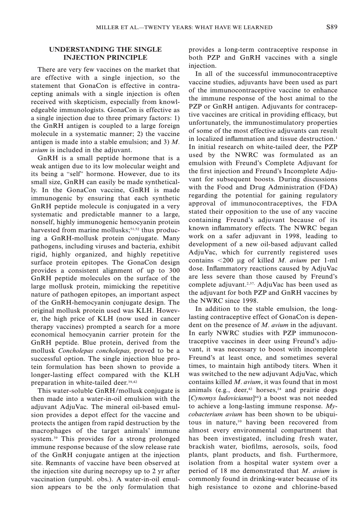#### UNDERSTANDING THE SINGLE INJECTION PRINCIPLE

There are very few vaccines on the market that are effective with a single injection, so the statement that GonaCon is effective in contracepting animals with a single injection is often received with skepticism, especially from knowledgeable immunologists. GonaCon is effective as a single injection due to three primary factors: 1) the GnRH antigen is coupled to a large foreign molecule in a systematic manner; 2) the vaccine antigen is made into a stable emulsion; and 3) M. avium is included in the adjuvant.

GnRH is a small peptide hormone that is a weak antigen due to its low molecular weight and its being a ''self'' hormone. However, due to its small size, GnRH can easily be made synthetically. In the GonaCon vaccine, GnRH is made immunogenic by ensuring that each synthetic GnRH peptide molecule is conjugated in a very systematic and predictable manner to a large, nonself, highly immunogenic hemocyanin protein harvested from marine mollusks; $51,52$  thus producing a GnRH-mollusk protein conjugate. Many pathogens, including viruses and bacteria, exhibit rigid, highly organized, and highly repetitive surface protein epitopes. The GonaCon design provides a consistent alignment of up to 300 GnRH peptide molecules on the surface of the large mollusk protein, mimicking the repetitive nature of pathogen epitopes, an important aspect of the GnRH-hemocyanin conjugate design. The original mollusk protein used was KLH. However, the high price of KLH (now used in cancer therapy vaccines) prompted a search for a more economical hemocyanin carrier protein for the GnRH peptide. Blue protein, derived from the mollusk Concholepas concholepas, proved to be a successful option. The single injection blue protein formulation has been shown to provide a longer-lasting effect compared with the KLH preparation in white-tailed deer.<sup>39,42</sup>

This water-soluble GnRH/mollusk conjugate is then made into a water-in-oil emulsion with the adjuvant AdjuVac. The mineral oil-based emulsion provides a depot effect for the vaccine and protects the antigen from rapid destruction by the macrophages of the target animals' immune system.<sup>39</sup> This provides for a strong prolonged immune response because of the slow release rate of the GnRH conjugate antigen at the injection site. Remnants of vaccine have been observed at the injection site during necropsy up to 2 yr after vaccination (unpubl. obs.). A water-in-oil emulsion appears to be the only formulation that provides a long-term contraceptive response in both PZP and GnRH vaccines with a single injection.

In all of the successful immunocontraceptive vaccine studies, adjuvants have been used as part of the immunocontraceptive vaccine to enhance the immune response of the host animal to the PZP or GnRH antigen. Adjuvants for contraceptive vaccines are critical in providing efficacy, but unfortunately, the immunostimulatory properties of some of the most effective adjuvants can result in localized inflammation and tissue destruction.<sup>1</sup> In initial research on white-tailed deer, the PZP used by the NWRC was formulated as an emulsion with Freund's Complete Adjuvant for the first injection and Freund's Incomplete Adjuvant for subsequent boosts. During discussions with the Food and Drug Administration (FDA) regarding the potential for gaining regulatory approval of immunocontraceptives, the FDA stated their opposition to the use of any vaccine containing Freund's adjuvant because of its known inflammatory effects. The NWRC began work on a safer adjuvant in 1998, leading to development of a new oil-based adjuvant called AdjuVac, which for currently registered uses contains  $\langle 200 \rangle$  µg of killed M. avium per 1-ml dose. Inflammatory reactions caused by AdjuVac are less severe than those caused by Freund's complete adjuvant.2,57, AdjuVac has been used as the adjuvant for both PZP and GnRH vaccines by the NWRC since 1998.

In addition to the stable emulsion, the longlasting contraceptive effect of GonaCon is dependent on the presence of M. avium in the adjuvant. In early NWRC studies with PZP immunocontraceptive vaccines in deer using Freund's adjuvant, it was necessary to boost with incomplete Freund's at least once, and sometimes several times, to maintain high antibody titers. When it was switched to the new adjuvant AdjuVac, which contains killed M. avium, it was found that in most animals (e.g., deer, $42$  horses, $24$  and prairie dogs [Cynomys ludovicianus] 66) a boost was not needed to achieve a long-lasting immune response. Mycobacterium avium has been shown to be ubiquitous in nature,<sup>10</sup> having been recovered from almost every environmental compartment that has been investigated, including fresh water, brackish water, biofilms, aerosols, soils, food plants, plant products, and fish. Furthermore, isolation from a hospital water system over a period of 18 mo demonstrated that M. avium is commonly found in drinking-water because of its high resistance to ozone and chlorine-based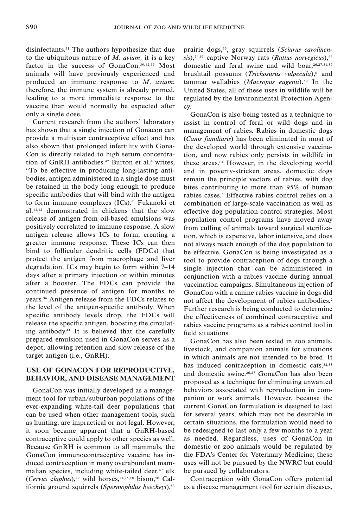disinfectants.31 The authors hypothesize that due to the ubiquitous nature of  $M$ . avium, it is a key factor in the success of GonaCon.<sup>39,42,55</sup> Most animals will have previously experienced and produced an immune response to M. avium; therefore, the immune system is already primed, leading to a more immediate response to the vaccine than would normally be expected after only a single dose.

Current research from the authors' laboratory has shown that a single injection of Gonacon can provide a multiyear contraceptive effect and has also shown that prolonged infertility with Gona-Con is directly related to high serum concentration of GnRH antibodies.<sup>42</sup> Burton et al.<sup>4</sup> writes, ''To be effective in producing long-lasting antibodies, antigen administered in a single dose must be retained in the body long enough to produce specific antibodies that will bind with the antigen to form immune complexes (ICs).'' Fukanoki et al.11,12 demonstrated in chickens that the slow release of antigen from oil-based emulsions was positively correlated to immune response. A slow antigen release allows ICs to form, creating a greater immune response. These ICs can then bind to follicular dendritic cells (FDCs) that protect the antigen from macrophage and liver degradation. ICs may begin to form within 7–14 days after a primary injection or within minutes after a booster. The FDCs can provide the continued presence of antigen for months to years.36 Antigen release from the FDCs relates to the level of the antigen-specific antibody. When specific antibody levels drop, the FDCs will release the specific antigen, boosting the circulating antibody.41 It is believed that the carefully prepared emulsion used in GonaCon serves as a depot, allowing retention and slow release of the target antigen (i.e., GnRH).

## USE OF GONACON FOR REPRODUCTIVE, BEHAVIOR, AND DISEASE MANAGEMENT

GonaCon was initially developed as a management tool for urban/suburban populations of the ever-expanding white-tail deer populations that can be used when other management tools, such as hunting, are impractical or not legal. However, it soon became apparent that a GnRH-based contraceptive could apply to other species as well. Because GnRH is common to all mammals, the GonaCon immunocontraceptive vaccine has induced contraception in many overabundant mammalian species, including white-tailed deer,<sup>47</sup> elk (Cervus elaphus),<sup>22</sup> wild horses,<sup>24,25,18</sup> bison,<sup>50</sup> California ground squirrels (Spermophilus beecheyi),<sup>53</sup> prairie dogs,<sup>66</sup>, gray squirrels (Sciurus carolinen $sis)$ ,<sup>54,65</sup> captive Norway rats (Rattus norvegicus), $44$ domestic and feral swine and wild boar, 26,27,51,37 brushtail possums (Trichosurus vulpecula),<sup>8</sup> and tammar wallabies (Macropus eugenii).<sup>59</sup> In the United States, all of these uses in wildlife will be regulated by the Environmental Protection Agency.

GonaCon is also being tested as a technique to assist in control of feral or wild dogs and in management of rabies. Rabies in domestic dogs (Canis familiaris) has been eliminated in most of the developed world through extensive vaccination, and now rabies only persists in wildlife in these areas.64 However, in the developing world and in poverty-stricken areas, domestic dogs remain the principle vectors of rabies, with dog bites contributing to more than 95% of human rabies cases.<sup>5</sup> Effective rabies control relies on a combination of large-scale vaccination as well as effective dog population control strategies. Most population control programs have moved away from culling of animals toward surgical sterilization, which is expensive, labor intensive, and does not always reach enough of the dog population to be effective. GonaCon is being investigated as a tool to provide contraception of dogs through a single injection that can be administered in conjunction with a rabies vaccine during annual vaccination campaigns. Simultaneous injection of GonaCon with a canine rabies vaccine in dogs did not affect the development of rabies antibodies.<sup>2</sup> Further research is being conducted to determine the effectiveness of combined contraceptive and rabies vaccine programs as a rabies control tool in field situations.

GonaCon has also been tested in zoo animals, livestock, and companion animals for situations in which animals are not intended to be bred. It has induced contraception in domestic cats, 32,33 and domestic swine.<sup>26,27</sup> GonaCon has also been proposed as a technique for eliminating unwanted behaviors associated with reproduction in companion or work animals. However, because the current GonaCon formulation is designed to last for several years, which may not be desirable in certain situations, the formulation would need to be redesigned to last only a few months to a year as needed. Regardless, uses of GonaCon in domestic or zoo animals would be regulated by the FDA's Center for Veterinary Medicine; these uses will not be pursued by the NWRC but could be pursued by collaborators.

Contraception with GonaCon offers potential as a disease management tool for certain diseases,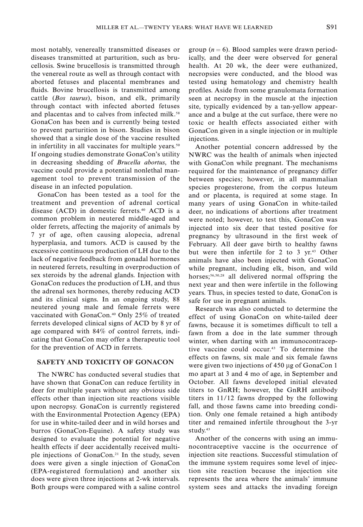most notably, venereally transmitted diseases or diseases transmitted at parturition, such as brucellosis. Swine brucellosis is transmitted through the venereal route as well as through contact with aborted fetuses and placental membranes and fluids. Bovine brucellosis is transmitted among cattle (Bos taurus), bison, and elk, primarily through contact with infected aborted fetuses and placentas and to calves from infected milk.<sup>58</sup> GonaCon has been and is currently being tested to prevent parturition in bison. Studies in bison showed that a single dose of the vaccine resulted in infertility in all vaccinates for multiple years.<sup>50</sup> If ongoing studies demonstrate GonaCon's utility in decreasing shedding of Brucella abortus, the vaccine could provide a potential nonlethal management tool to prevent transmission of the disease in an infected population.

GonaCon has been tested as a tool for the treatment and prevention of adrenal cortical disease (ACD) in domestic ferrets.40 ACD is a common problem in neutered middle-aged and older ferrets, affecting the majority of animals by 7 yr of age, often causing alopecia, adrenal hyperplasia, and tumors. ACD is caused by the excessive continuous production of LH due to the lack of negative feedback from gonadal hormones in neutered ferrets, resulting in overproduction of sex steroids by the adrenal glands. Injection with GonaCon reduces the production of LH, and thus the adrenal sex hormones, thereby reducing ACD and its clinical signs. In an ongoing study, 88 neutered young male and female ferrets were vaccinated with GonaCon.40 Only 25% of treated ferrets developed clinical signs of ACD by 8 yr of age compared with 84% of control ferrets, indicating that GonaCon may offer a therapeutic tool for the prevention of ACD in ferrets.

#### SAFETY AND TOXICITY OF GONACON

The NWRC has conducted several studies that have shown that GonaCon can reduce fertility in deer for multiple years without any obvious side effects other than injection site reactions visible upon necropsy. GonaCon is currently registered with the Environmental Protection Agency (EPA) for use in white-tailed deer and in wild horses and burros (GonaCon-Equine). A safety study was designed to evaluate the potential for negative health effects if deer accidentally received multiple injections of GonaCon.21 In the study, seven does were given a single injection of GonaCon (EPA-registered formulation) and another six does were given three injections at 2-wk intervals. Both groups were compared with a saline control group  $(n = 6)$ . Blood samples were drawn periodically, and the deer were observed for general health. At 20 wk, the deer were euthanized, necropsies were conducted, and the blood was tested using hematology and chemistry health profiles. Aside from some granulomata formation seen at necropsy in the muscle at the injection site, typically evidenced by a tan-yellow appearance and a bulge at the cut surface, there were no toxic or health effects associated either with GonaCon given in a single injection or in multiple injections.

Another potential concern addressed by the NWRC was the health of animals when injected with GonaCon while pregnant. The mechanisms required for the maintenance of pregnancy differ between species; however, in all mammalian species progesterone, from the corpus luteum and or placenta, is required at some stage. In many years of using GonaCon in white-tailed deer, no indications of abortions after treatment were noted; however, to test this, GonaCon was injected into six deer that tested positive for pregnancy by ultrasound in the first week of February. All deer gave birth to healthy fawns but were then infertile for 2 to 3 yr.<sup>43</sup> Other animals have also been injected with GonaCon while pregnant, including elk, bison, and wild horses;<sup>56,50,28</sup> all delivered normal offspring the next year and then were infertile in the following years. Thus, in species tested to date, GonaCon is safe for use in pregnant animals.

Research was also conducted to determine the effect of using GonaCon on white-tailed deer fawns, because it is sometimes difficult to tell a fawn from a doe in the late summer through winter, when darting with an immunocontraceptive vaccine could occur.43 To determine the effects on fawns, six male and six female fawns were given two injections of 450 µg of GonaCon 1 mo apart at 3 and 4 mo of age, in September and October. All fawns developed initial elevated titers to GnRH; however, the GnRH antibody titers in 11/12 fawns dropped by the following fall, and those fawns came into breeding condition. Only one female retained a high antibody titer and remained infertile throughout the 3-yr study.43

Another of the concerns with using an immunocontraceptive vaccine is the occurrence of injection site reactions. Successful stimulation of the immune system requires some level of injection site reaction because the injection site represents the area where the animals' immune system sees and attacks the invading foreign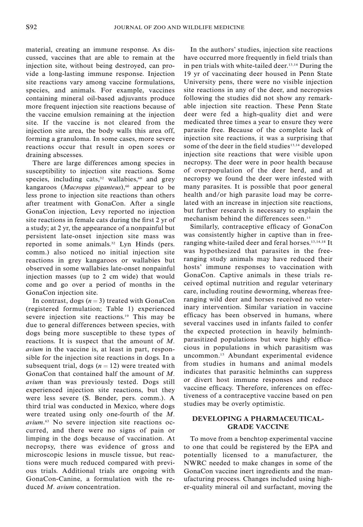material, creating an immune response. As discussed, vaccines that are able to remain at the injection site, without being destroyed, can provide a long-lasting immune response. Injection site reactions vary among vaccine formulations, species, and animals. For example, vaccines containing mineral oil-based adjuvants produce more frequent injection site reactions because of the vaccine emulsion remaining at the injection site. If the vaccine is not cleared from the injection site area, the body walls this area off, forming a granuloma. In some cases, more severe reactions occur that result in open sores or draining abscesses.

There are large differences among species in susceptibility to injection site reactions. Some species, including cats,<sup>32</sup> wallabies,<sup>60</sup> and grey kangaroos (Macropus giganteus),<sup>60</sup> appear to be less prone to injection site reactions than others after treatment with GonaCon. After a single GonaCon injection, Levy reported no injection site reactions in female cats during the first 2 yr of a study; at 2 yr, the appearance of a nonpainful but persistent late-onset injection site mass was reported in some animals.<sup>32</sup> Lyn Hinds (pers. comm.) also noticed no initial injection site reactions in grey kangaroos or wallabies but observed in some wallabies late-onset nonpainful injection masses (up to 2 cm wide) that would come and go over a period of months in the GonaCon injection site.

In contrast, dogs  $(n = 3)$  treated with GonaCon (registered formulation; Table 1) experienced severe injection site reactions.<sup>19</sup> This may be due to general differences between species, with dogs being more susceptible to these types of reactions. It is suspect that the amount of M. avium in the vaccine is, at least in part, responsible for the injection site reactions in dogs. In a subsequent trial, dogs  $(n = 12)$  were treated with GonaCon that contained half the amount of M. avium than was previously tested. Dogs still experienced injection site reactions, but they were less severe (S. Bender, pers. comm.). A third trial was conducted in Mexico, where dogs were treated using only one-fourth of the M. avium. <sup>63</sup> No severe injection site reactions occurred, and there were no signs of pain or limping in the dogs because of vaccination. At necropsy, there was evidence of gross and microscopic lesions in muscle tissue, but reactions were much reduced compared with previous trials. Additional trials are ongoing with GonaCon-Canine, a formulation with the reduced *M. avium* concentration.

In the authors' studies, injection site reactions have occurred more frequently in field trials than in pen trials with white-tailed deer.<sup>13,14</sup> During the 19 yr of vaccinating deer housed in Penn State University pens, there were no visible injection site reactions in any of the deer, and necropsies following the studies did not show any remarkable injection site reaction. These Penn State deer were fed a high-quality diet and were medicated three times a year to ensure they were parasite free. Because of the complete lack of injection site reactions, it was a surprising that some of the deer in the field studies<sup>13,14</sup> developed injection site reactions that were visible upon necropsy. The deer were in poor health because of overpopulation of the deer herd, and at necropsy we found the deer were infested with many parasites. It is possible that poor general health and/or high parasite load may be correlated with an increase in injection site reactions, but further research is necessary to explain the mechanism behind the differences seen.<sup>15</sup>

Similarly, contraceptive efficacy of GonaCon was consistently higher in captive than in freeranging white-tailed deer and feral horses.13,14,18 It was hypothesized that parasites in the freeranging study animals may have reduced their hosts' immune responses to vaccination with GonaCon. Captive animals in these trials received optimal nutrition and regular veterinary care, including routine deworming, whereas freeranging wild deer and horses received no veterinary intervention. Similar variation in vaccine efficacy has been observed in humans, where several vaccines used in infants failed to confer the expected protection in heavily helminthparasitized populations but were highly efficacious in populations in which parasitism was uncommon.<sup>15</sup> Abundant experimental evidence from studies in humans and animal models indicates that parasitic helminths can suppress or divert host immune responses and reduce vaccine efficacy. Therefore, inferences on effectiveness of a contraceptive vaccine based on pen studies may be overly optimistic.

#### DEVELOPING A PHARMACEUTICAL-GRADE VACCINE

To move from a benchtop experimental vaccine to one that could be registered by the EPA and potentially licensed to a manufacturer, the NWRC needed to make changes in some of the GonaCon vaccine inert ingredients and the manufacturing process. Changes included using higher-quality mineral oil and surfactant, moving the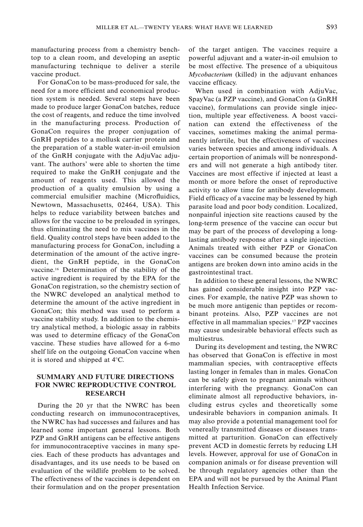manufacturing process from a chemistry benchtop to a clean room, and developing an aseptic manufacturing technique to deliver a sterile vaccine product.

For GonaCon to be mass-produced for sale, the need for a more efficient and economical production system is needed. Several steps have been made to produce larger GonaCon batches, reduce the cost of reagents, and reduce the time involved in the manufacturing process. Production of GonaCon requires the proper conjugation of GnRH peptides to a mollusk carrier protein and the preparation of a stable water-in-oil emulsion of the GnRH conjugate with the AdjuVac adjuvant. The authors' were able to shorten the time required to make the GnRH conjugate and the amount of reagents used. This allowed the production of a quality emulsion by using a commercial emulsifier machine (Microfluidics, Newtown, Massachusetts, 02464, USA). This helps to reduce variability between batches and allows for the vaccine to be preloaded in syringes, thus eliminating the need to mix vaccines in the field. Quality control steps have been added to the manufacturing process for GonaCon, including a determination of the amount of the active ingredient, the GnRH peptide, in the GonaCon vaccine.16 Determination of the stability of the active ingredient is required by the EPA for the GonaCon registration, so the chemistry section of the NWRC developed an analytical method to determine the amount of the active ingredient in GonaCon; this method was used to perform a vaccine stability study. In addition to the chemistry analytical method, a biologic assay in rabbits was used to determine efficacy of the GonaCon vaccine. These studies have allowed for a 6-mo shelf life on the outgoing GonaCon vaccine when it is stored and shipped at  $4^{\circ}$ C.

#### SUMMARY AND FUTURE DIRECTIONS FOR NWRC REPRODUCTIVE CONTROL RESEARCH

During the 20 yr that the NWRC has been conducting research on immunocontraceptives, the NWRC has had successes and failures and has learned some important general lessons. Both PZP and GnRH antigens can be effective antigens for immunocontraceptive vaccines in many species. Each of these products has advantages and disadvantages, and its use needs to be based on evaluation of the wildlife problem to be solved. The effectiveness of the vaccines is dependent on their formulation and on the proper presentation of the target antigen. The vaccines require a powerful adjuvant and a water-in-oil emulsion to be most effective. The presence of a ubiquitous Mycobacterium (killed) in the adjuvant enhances vaccine efficacy.

When used in combination with AdjuVac, SpayVac (a PZP vaccine), and GonaCon (a GnRH vaccine), formulations can provide single injection, multiple year effectiveness. A boost vaccination can extend the effectiveness of the vaccines, sometimes making the animal permanently infertile, but the effectiveness of vaccines varies between species and among individuals. A certain proportion of animals will be nonresponders and will not generate a high antibody titer. Vaccines are most effective if injected at least a month or more before the onset of reproductive activity to allow time for antibody development. Field efficacy of a vaccine may be lessened by high parasite load and poor body condition. Localized, nonpainful injection site reactions caused by the long-term presence of the vaccine can occur but may be part of the process of developing a longlasting antibody response after a single injection. Animals treated with either PZP or GonaCon vaccines can be consumed because the protein antigens are broken down into amino acids in the gastrointestinal tract.

In addition to these general lessons, the NWRC has gained considerable insight into PZP vaccines. For example, the native PZP was shown to be much more antigenic than peptides or recombinant proteins. Also, PZP vaccines are not effective in all mammalian species.17 PZP vaccines may cause undesirable behavioral effects such as multiestrus.

During its development and testing, the NWRC has observed that GonaCon is effective in most mammalian species, with contraceptive effects lasting longer in females than in males. GonaCon can be safely given to pregnant animals without interfering with the pregnancy. GonaCon can eliminate almost all reproductive behaviors, including estrus cycles and theoretically some undesirable behaviors in companion animals. It may also provide a potential management tool for venereally transmitted diseases or diseases transmitted at parturition. GonaCon can effectively prevent ACD in domestic ferrets by reducing LH levels. However, approval for use of GonaCon in companion animals or for disease prevention will be through regulatory agencies other than the EPA and will not be pursued by the Animal Plant Health Infection Service.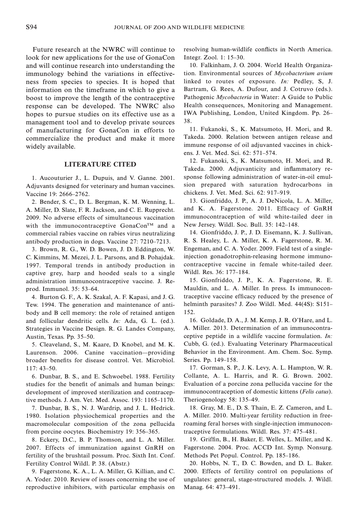Future research at the NWRC will continue to look for new applications for the use of GonaCon and will continue research into understanding the immunology behind the variations in effectiveness from species to species. It is hoped that information on the timeframe in which to give a boost to improve the length of the contraceptive response can be developed. The NWRC also hopes to pursue studies on its effective use as a management tool and to develop private sources of manufacturing for GonaCon in efforts to commercialize the product and make it more widely available.

#### LITERATURE CITED

1. Aucouturier J., L. Dupuis, and V. Ganne. 2001. Adjuvants designed for veterinary and human vaccines. Vaccine 19: 2666–2762.

2. Bender, S. C., D. L. Bergman, K. M. Wenning, L. A. Miller, D. Slate, F. R. Jackson, and C. E. Rupprecht. 2009. No adverse effects of simultaneous vaccination with the immunocontraceptive GonaCon<sup>TM</sup> and a commercial rabies vaccine on rabies virus neutralizing antibody production in dogs. Vaccine 27: 7210–7213.

3. Brown, R. G., W. D. Bowen, J. D. Eddington, W. C. Kimmins, M. Mezei, J. L. Parsons, and B. Pohajdak. 1997. Temporal trends in antibody production in captive grey, harp and hooded seals to a single administration immunocontraceptive vaccine. J. Reprod. Immunol. 35: 53–64.

4. Burton G. F., A. K. Szakal, A. F. Kapasi, and J. G. Tew. 1994. The generation and maintenance of antibody and B cell memory: the role of retained antigen and follicular dendritic cells. In: Ada, G. L. (ed.). Strategies in Vaccine Design. R. G. Landes Company, Austin, Texas. Pp. 35–50.

5. Cleaveland, S., M. Kaare, D. Knobel, and M. K. Laurenson. 2006. Canine vaccination—providing broader benefits for disease control. Vet. Microbiol. 117: 43–50.

6. Dunbar, B. S., and E. Schwoebel. 1988. Fertility studies for the benefit of animals and human beings: development of improved sterilization and contraceptive methods. J. Am. Vet. Med. Assoc. 193: 1165–1170.

7. Dunbar, B. S., N. J. Wardrip, and J. L. Hedrick. 1980. Isolation physiochemical properties and the macromolecular composition of the zona pellucida from porcine oocytes. Biochemistry 19: 356–365.

8. Eckery, D.C., B. P. Thomson, and L. A. Miller. 2007. Effects of immunization against GnRH on fertility of the brushtail possum. Proc. Sixth Int. Conf. Fertility Control Wildl. P. 38. (Abstr.)

9. Fagerstone, K. A., L. A. Miller, G. Killian, and C. A. Yoder. 2010. Review of issues concerning the use of reproductive inhibitors, with particular emphasis on

resolving human-wildlife conflicts in North America. Integr. Zool. 1: 15–30.

10. Falkinham, J. O. 2004. World Health Organization. Environmental sources of Mycobacterium avium linked to routes of exposure. In: Pedley, S, J. Bartram, G. Rees, A. Dufour, and J. Cotruvo (eds.). Pathogenic Mycobacteria in Water: A Guide to Public Health consequences, Monitoring and Management. IWA Publishing, London, United Kingdom. Pp. 26– 38.

11. Fukanoki, S., K. Matsumoto, H. Mori, and R. Takeda. 2000. Relation between antigen release and immune response of oil adjuvanted vaccines in chickens. J. Vet. Med. Sci. 62: 571–574.

12. Fukanoki, S., K. Matsumoto, H. Mori, and R. Takeda. 2000. Adjuvanticity and inflammatory response following administration of water-in-oil emulsion prepared with saturation hydrocarbons in chickens. J. Vet. Med. Sci. 62: 917–919.

13. Gionfriddo, J. P., A. J. DeNicola, L. A. Miller, and K. A. Fagerstone. 2011. Efficacy of GnRH immunocontraception of wild white-tailed deer in New Jersey. Wildl. Soc. Bull. 35: 142–148.

14. Gionfriddo, J. P., J. D. Eisemann, K. J. Sullivan, R. S. Healey, L. A. Miller, K. A. Fagerstone, R. M. Engeman, and C. A. Yoder. 2009. Field test of a singleinjection gonadotrophin-releasing hormone immunocontraceptive vaccine in female white-tailed deer. Wildl. Res. 36: 177–184.

15. Gionfriddo, J. P., K. A. Fagerstone, R. E. Mauldin, and L. A. Miller. In press. Is immunocontraceptive vaccine efficacy reduced by the presence of helminth parasites? J. Zoo Wildl. Med. 44(4S): S151– 152.

16. Goldade, D. A., J. M. Kemp, J. R. O'Hare, and L. A. Miller. 2013. Determination of an immunocontraceptive peptide in a wildlife vaccine formulation. In: Cubb, G. (ed.). Evaluating Veterinary Pharmaceutical Behavior in the Environment. Am. Chem. Soc. Symp. Series. Pp. 149–158.

17. Gorman, S. P., J. K. Levy, A. L. Hampton, W. R. Collante, A. L. Harris, and R. G. Brown. 2002. Evaluation of a porcine zona pellucida vaccine for the immunocontraception of domestic kittens (Felis catus). Theriogenology 58: 135–49.

18. Gray, M. E., D. S. Thain, E. Z. Cameron, and L. A. Miller. 2010. Multi-year fertility reduction in freeroaming feral horses with single-injection immunocontraceptive formulations. Wildl. Res. 37: 475–481.

19. Griffin, B., H. Baker, E. Welles, L. Miller, and K. Fagerstone. 2004. Proc. ACCD Int. Symp. Nonsurg. Methods Pet Popul. Control. Pp. 185–186.

20. Hobbs, N. T., D. C. Bowden, and D. L. Baker. 2000. Effects of fertility control on populations of ungulates: general, stage-structured models. J. Wildl. Manag. 64: 473–491.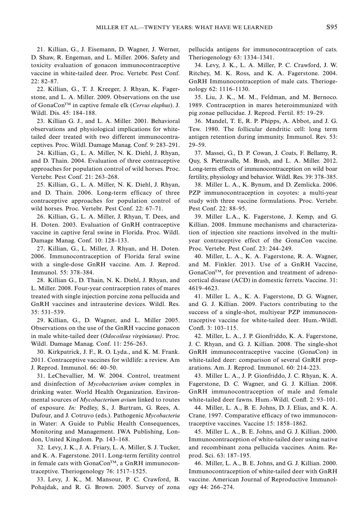21. Killian, G., J. Eisemann, D. Wagner, J. Werner, D. Shaw, R. Engeman, and L. Miller. 2006. Safety and toxicity evaluation of gonacon immunocontraceptive vaccine in white-tailed deer. Proc. Vertebr. Pest Conf. 22: 82–87.

22. Killian, G., T. J. Kreeger, J. Rhyan, K. Fagerstone, and L. A. Miller. 2009. Observations on the use of GonaCon™ in captive female elk (Cervus elaphus). J. Wildl. Dis. 45: 184–188.

23. Killian G. J., and L. A. Miller. 2001. Behavioral observations and physiological implications for whitetailed deer treated with two different immunocontraceptives. Proc. Wildl. Damage Manag. Conf. 9: 283–291.

24. Killian, G., L. A. Miller, N. K. Diehl, J. Rhyan, and D. Thain. 2004. Evaluation of three contraceptive approaches for population control of wild horses. Proc. Vertebr. Pest Conf. 21: 263–268.

25. Killian, G., L. A. Miller, N. K. Diehl, J. Rhyan, and D. Thain. 2006. Long-term efficacy of three contraceptive approaches for population control of wild horses. Proc. Vertebr. Pest Conf. 22: 67–71.

26. Killian, G., L. A. Miller, J. Rhyan, T. Dees, and H. Doten. 2003. Evaluation of GnRH contraceptive vaccine in captive feral swine in Florida. Proc. Wildl. Damage Manag. Conf. 10: 128–133.

27. Killian, G., L. Miller, J. Rhyan, and H. Doten. 2006. Immunocontraception of Florida feral swine with a single-dose GnRH vaccine. Am. J. Reprod. Immunol. 55: 378–384.

28. Killian G., D. Thain, N. K. Diehl, J. Rhyan, and L. Miller. 2008. Four-year contraception rates of mares treated with single injection porcine zona pellucida and GnRH vaccines and intrauterine devices. Wildl. Res. 35: 531–539.

29. Killian, G., D. Wagner, and L. Miller 2005. Observations on the use of the GnRH vaccine gonacon in male white-tailed deer (Odocoileus virginianus). Proc. Wildl. Damage Manag. Conf. 11: 256–263.

30. Kirkpatrick, J. F., R. O. Lyda., and K. M. Frank. 2011. Contraceptive vaccines for wildlife: a review. Am J. Reprod. Immunol. 66: 40–50.

31. LeChevallier, M. W. 2004. Control, treatment and disinfection of Mycobacterium avium complex in drinking water. World Health Organization. Environmental sources of Mycobacterium avium linked to routes of exposure. In: Pedley, S., J. Bartram, G. Rees, A. Dufour, and J. Cotruvo (eds.). Pathogenic Mycobacteria in Water: A Guide to Public Health Consequences, Monitoring and Management. IWA Publishing, London, United Kingdom. Pp. 143–168.

32. Levy, J. K., J. A. Friary, L. A. Miller, S. J. Tucker, and K. A. Fagerstone. 2011. Long-term fertility control in female cats with GonaCon<sup>TM</sup>, a GnRH immunocontraceptive. Theriogenology 76: 1517–1525.

33. Levy, J. K., M. Mansour, P. C. Crawford, B. Pohajdak, and R. G. Brown. 2005. Survey of zona pellucida antigens for immunocontraception of cats. Theriogenology 63: 1334–1341.

34. Levy, J. K., L. A. Miller, P. C. Crawford, J. W. Ritchey, M. K. Ross, and K. A. Fagerstone. 2004. GnRH Immunocontraception of male cats. Theriogenology 62: 1116–1130.

35. Liu, J. K., M. M., Feldman, and M. Bernoco. 1989. Contraception in mares heteroimmunized with pig zonae pellucidae. J. Reprod. Fertil. 85: 19–29.

36. Mandel, T. E, R. P. Phipps, A. Abbot, and J. G. Tew. 1980. The follicular dendritic cell: long term antigen retention during immunity. Immunol. Rev. 53: 29–59.

37. Massei, G., D. P. Cowan, J. Coats, F. Bellamy, R. Quy, S. Pietravalle, M. Brash, and L. A. Miller. 2012. Long-term effects of immunocontraception on wild boar fertility, physiology and behavior. Wildl. Res. 39: 378–385.

38. Miller L. A., K. Bynum, and D. Zemlicka. 2006. PZP immunocontraception in coyotes: a multi-year study with three vaccine formulations. Proc. Vertebr. Pest Conf. 22: 88–95.

39. Miller L.A., K. Fagerstone, J. Kemp, and G. Killian. 2008. Immune mechanisms and characterization of injection site reactions involved in the multiyear contraceptive effect of the GonaCon vaccine. Proc. Vertebr. Pest Conf. 23: 244–249.

40. Miller, L. A., K. A. Fagerstone, R. A. Wagner, and M. Finkler. 2013. Use of a GnRH Vaccine, GonaConTM, for prevention and treatment of adrenocortical disease (ACD) in domestic ferrets. Vaccine. 31: 4619–4623.

41. Miller L. A., K. A. Fagerstone, D. G. Wagner, and G. J. Killian. 2009. Factors contributing to the success of a single-shot, multiyear PZP immunocontraceptive vaccine for white-tailed deer. Hum.-Wildl. Confl. 3: 103–115.

42. Miller, L. A., J. P. Gionfriddo, K. A. Fagerstone, J. C. Rhyan, and G. J. Killian. 2008. The single-shot GnRH immunocontraceptive vaccine (GonaCon) in white-tailed deer: comparison of several GnRH preparations. Am. J. Reprod. Immunol. 60: 214–223.

43. Miller L. A., J. P. Gionfriddo, J. C. Rhyan, K. A. Fagerstone, D. C. Wagner, and G. J. Killian. 2008. GnRH immunocontraception of male and female white-tailed deer fawns. Hum.-Wildl. Confl. 2: 93–101.

44. Miller, L. A., B. E. Johns, D. J. Elias, and K. A. Crane. 1997. Comparative efficacy of two immunocontraceptive vaccines. Vaccine 15: 1858–1862.

45. Miller L. A., B. E. Johns, and G. J. Killian. 2000. Immunocontraception of white-tailed deer using native and recombinant zona pellucida vaccines. Anim. Reprod. Sci. 63: 187–195.

46. Miller, L. A., B. E. Johns, and G. J. Killian. 2000. Immunocontraception of white-tailed deer with GnRH vaccine. American Journal of Reproductive Immunology 44: 266–274.